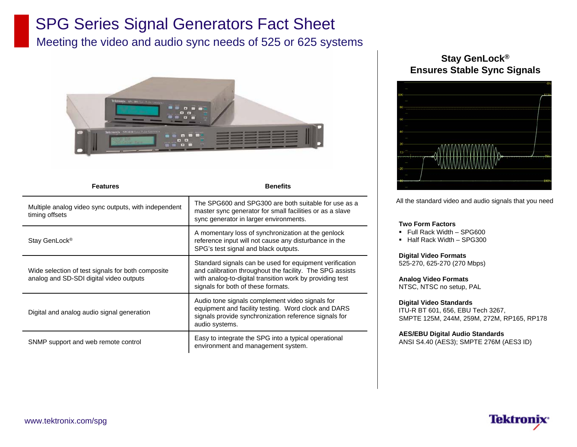## SPG Series Signal Generators Fact Sheet

Meeting the video and audio sync needs of 525 or 625 systems



| <b>Features</b>                                                                              | <b>Benefits</b>                                                                                                                                                                                                       |
|----------------------------------------------------------------------------------------------|-----------------------------------------------------------------------------------------------------------------------------------------------------------------------------------------------------------------------|
| Multiple analog video sync outputs, with independent<br>timing offsets                       | The SPG600 and SPG300 are both suitable for use as a<br>master sync generator for small facilities or as a slave<br>sync generator in larger environments.                                                            |
| Stay GenLock <sup>®</sup>                                                                    | A momentary loss of synchronization at the genlock<br>reference input will not cause any disturbance in the<br>SPG's test signal and black outputs.                                                                   |
| Wide selection of test signals for both composite<br>analog and SD-SDI digital video outputs | Standard signals can be used for equipment verification<br>and calibration throughout the facility. The SPG assists<br>with analog-to-digital transition work by providing test<br>signals for both of these formats. |
| Digital and analog audio signal generation                                                   | Audio tone signals complement video signals for<br>equipment and facility testing. Word clock and DARS<br>signals provide synchronization reference signals for<br>audio systems.                                     |
| SNMP support and web remote control                                                          | Easy to integrate the SPG into a typical operational<br>environment and management system.                                                                                                                            |

### **Stay GenLock® Ensures Stable Sync Signals**



All the standard video and audio signals that you need

#### **Two Form Factors**

- Full Rack Width SPG600
- Half Rack Width SPG300

#### **Digital Video Formats**

525-270, 625-270 (270 Mbps)

**Analog Video Formats**

NTSC, NTSC no setup, PAL

#### **Digital Video Standards**

ITU-R BT 601, 656, EBU Tech 3267, SMPTE 125M, 244M, 259M, 272M, RP165, RP178

#### **AES/EBU Digital Audio Standards**

ANSI S4.40 (AES3); SMPTE 276M (AES3 ID)